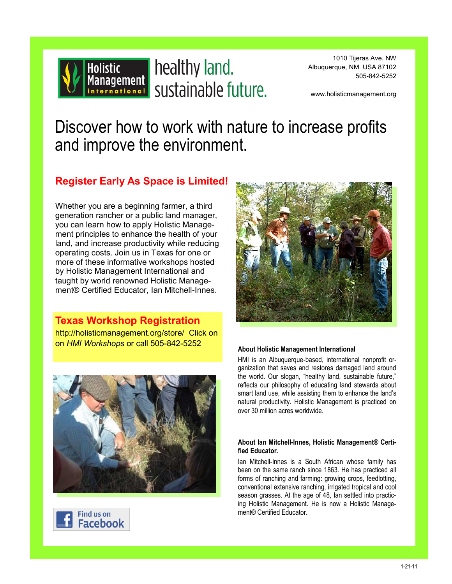

Holistic healthy land.

1010 Tijeras Ave. NW Albuquerque, NM USA 87102 505-842-5252

www.holisticmanagement.org

# Discover how to work with nature to increase profits and improve the environment.

### **Register Early As Space is Limited!**

Whether you are a beginning farmer, a third generation rancher or a public land manager, you can learn how to apply Holistic Management principles to enhance the health of your land, and increase productivity while reducing operating costs. Join us in Texas for one or more of these informative workshops hosted by Holistic Management International and taught by world renowned Holistic Management® Certified Educator, Ian Mitchell-Innes.

**Texas Workshop Registration** [http://holisticmanagement.org/store/](http://holisticmanagement.org/store/%20) Click on on *HMI Workshops* or call 505-842-5252







#### **About Holistic Management International**

HMI is an Albuquerque-based, international nonprofit organization that saves and restores damaged land around the world. Our slogan, "healthy land, sustainable future," reflects our philosophy of educating land stewards about smart land use, while assisting them to enhance the land's natural productivity. Holistic Management is practiced on over 30 million acres worldwide.

#### **About Ian Mitchell-Innes, Holistic Management® Certified Educator.**

Ian Mitchell-Innes is a South African whose family has been on the same ranch since 1863. He has practiced all forms of ranching and farming: growing crops, feedlotting, conventional extensive ranching, irrigated tropical and cool season grasses. At the age of 48, Ian settled into practicing Holistic Management. He is now a Holistic Management® Certified Educator.